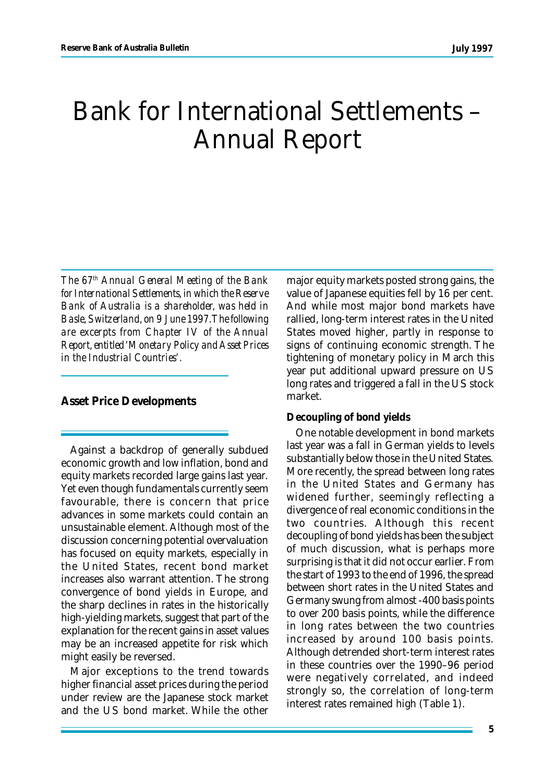# Bank for International Settlements – Annual Report

*The 67th Annual General Meeting of the Bank for International Settlements, in which the Reserve Bank of Australia is a shareholder, was held in Basle, Switzerland, on 9 June 1997. The following are excerpts from Chapter IV of the Annual Report, entitled 'Monetary Policy and Asset Prices in the Industrial Countries'.*

## **Asset Price Developments**

Against a backdrop of generally subdued economic growth and low inflation, bond and equity markets recorded large gains last year. Yet even though fundamentals currently seem favourable, there is concern that price advances in some markets could contain an unsustainable element. Although most of the discussion concerning potential overvaluation has focused on equity markets, especially in the United States, recent bond market increases also warrant attention. The strong convergence of bond yields in Europe, and the sharp declines in rates in the historically high-yielding markets, suggest that part of the explanation for the recent gains in asset values may be an increased appetite for risk which might easily be reversed.

Major exceptions to the trend towards higher financial asset prices during the period under review are the Japanese stock market and the US bond market. While the other

major equity markets posted strong gains, the value of Japanese equities fell by 16 per cent. And while most major bond markets have rallied, long-term interest rates in the United States moved higher, partly in response to signs of continuing economic strength. The tightening of monetary policy in March this year put additional upward pressure on US long rates and triggered a fall in the US stock market.

### **Decoupling of bond yields**

One notable development in bond markets last year was a fall in German yields to levels substantially below those in the United States. More recently, the spread between long rates in the United States and Germany has widened further, seemingly reflecting a divergence of real economic conditions in the two countries. Although this recent decoupling of bond yields has been the subject of much discussion, what is perhaps more surprising is that it did not occur earlier. From the start of 1993 to the end of 1996, the spread between short rates in the United States and Germany swung from almost -400 basis points to over 200 basis points, while the difference in long rates between the two countries increased by around 100 basis points. Although detrended short-term interest rates in these countries over the 1990–96 period were negatively correlated, and indeed strongly so, the correlation of long-term interest rates remained high (Table 1).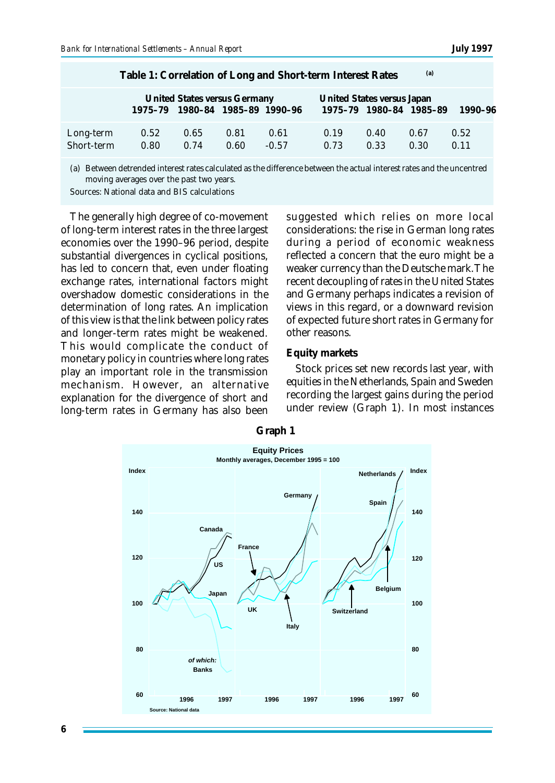| (a)<br>Table 1: Correlation of Long and Short-term Interest Rates |              |                                                                 |              |                 |              |                                                       |              |              |  |
|-------------------------------------------------------------------|--------------|-----------------------------------------------------------------|--------------|-----------------|--------------|-------------------------------------------------------|--------------|--------------|--|
|                                                                   |              | United States versus Germany<br>1975-79 1980-84 1985-89 1990-96 |              |                 |              | United States versus Japan<br>1975-79 1980-84 1985-89 |              | 1990–96      |  |
| Long-term<br>Short-term                                           | 0.52<br>0.80 | 0.65<br>0.74                                                    | 0.81<br>0.60 | 0.61<br>$-0.57$ | 0.19<br>0.73 | 0.40<br>0.33                                          | 0.67<br>0.30 | 0.52<br>0.11 |  |

(a) Between detrended interest rates calculated as the difference between the actual interest rates and the uncentred moving averages over the past two years.

Sources: National data and BIS calculations

The generally high degree of co-movement of long-term interest rates in the three largest economies over the 1990–96 period, despite substantial divergences in cyclical positions, has led to concern that, even under floating exchange rates, international factors might overshadow domestic considerations in the determination of long rates. An implication of this view is that the link between policy rates and longer-term rates might be weakened. This would complicate the conduct of monetary policy in countries where long rates play an important role in the transmission mechanism. However, an alternative explanation for the divergence of short and long-term rates in Germany has also been suggested which relies on more local considerations: the rise in German long rates during a period of economic weakness reflected a concern that the euro might be a weaker currency than the Deutsche mark. The recent decoupling of rates in the United States and Germany perhaps indicates a revision of views in this regard, or a downward revision of expected future short rates in Germany for other reasons.

#### **Equity markets**

Stock prices set new records last year, with equities in the Netherlands, Spain and Sweden recording the largest gains during the period under review (Graph 1). In most instances



**Graph 1**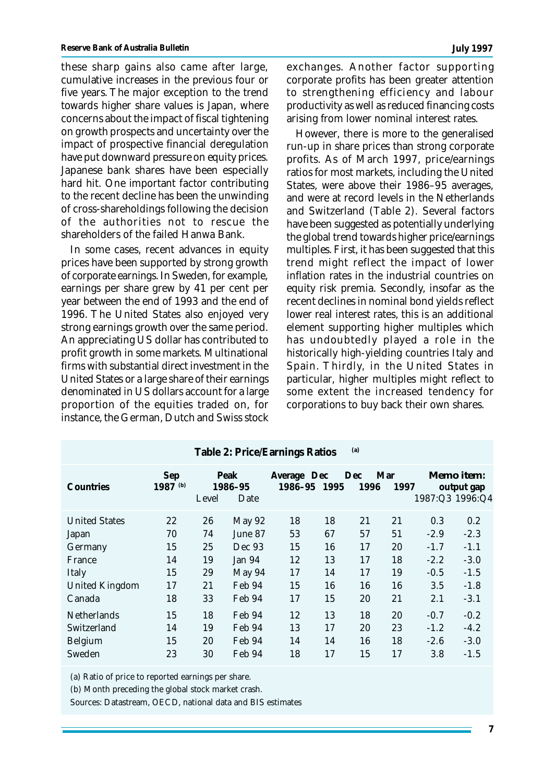these sharp gains also came after large, cumulative increases in the previous four or five years. The major exception to the trend towards higher share values is Japan, where concerns about the impact of fiscal tightening on growth prospects and uncertainty over the impact of prospective financial deregulation have put downward pressure on equity prices. Japanese bank shares have been especially hard hit. One important factor contributing to the recent decline has been the unwinding of cross-shareholdings following the decision of the authorities not to rescue the shareholders of the failed Hanwa Bank.

In some cases, recent advances in equity prices have been supported by strong growth of corporate earnings. In Sweden, for example, earnings per share grew by 41 per cent per year between the end of 1993 and the end of 1996. The United States also enjoyed very strong earnings growth over the same period. An appreciating US dollar has contributed to profit growth in some markets. Multinational firms with substantial direct investment in the United States or a large share of their earnings denominated in US dollars account for a large proportion of the equities traded on, for instance, the German, Dutch and Swiss stock

exchanges. Another factor supporting corporate profits has been greater attention to strengthening efficiency and labour productivity as well as reduced financing costs arising from lower nominal interest rates.

However, there is more to the generalised run-up in share prices than strong corporate profits. As of March 1997, price/earnings ratios for most markets, including the United States, were above their 1986–95 averages, and were at record levels in the Netherlands and Switzerland (Table 2). Several factors have been suggested as potentially underlying the global trend towards higher price/earnings multiples. First, it has been suggested that this trend might reflect the impact of lower inflation rates in the industrial countries on equity risk premia. Secondly, insofar as the recent declines in nominal bond yields reflect lower real interest rates, this is an additional element supporting higher multiples which has undoubtedly played a role in the historically high-yielding countries Italy and Spain. Thirdly, in the United States in particular, higher multiples might reflect to some extent the increased tendency for corporations to buy back their own shares.

|                       |                   |       |                         | Table z: Price/Earnings Ratios |    | (u)          |             |        |                                             |
|-----------------------|-------------------|-------|-------------------------|--------------------------------|----|--------------|-------------|--------|---------------------------------------------|
| Countries             | Sep<br>1987 $(b)$ | Level | Peak<br>1986-95<br>Date | Average Dec<br>1986-95 1995    |    | Dec.<br>1996 | Mar<br>1997 |        | Memo item:<br>output gap<br>1987:Q3 1996:Q4 |
| <b>United States</b>  | 22                | 26    | <b>May 92</b>           | 18                             | 18 | 21           | 21          | 0.3    | 0.2                                         |
| Japan                 | 70                | 74    | June 87                 | 53                             | 67 | 57           | 51          | $-2.9$ | $-2.3$                                      |
| Germany               | 15                | 25    | Dec 93                  | 15                             | 16 | 17           | 20          | $-1.7$ | $-1.1$                                      |
| France                | 14                | 19    | Jan 94                  | 12                             | 13 | 17           | 18          | $-2.2$ | $-3.0$                                      |
| Italy                 | 15                | 29    | May 94                  | 17                             | 14 | 17           | 19          | $-0.5$ | $-1.5$                                      |
| <b>United Kingdom</b> | 17                | 21    | Feb 94                  | 15                             | 16 | 16           | 16          | 3.5    | $-1.8$                                      |
| Canada                | 18                | 33    | Feb 94                  | 17                             | 15 | 20           | 21          | 2.1    | $-3.1$                                      |
| <b>Netherlands</b>    | 15                | 18    | Feb 94                  | 12                             | 13 | 18           | 20          | $-0.7$ | $-0.2$                                      |
| Switzerland           | 14                | 19    | Feb 94                  | 13                             | 17 | 20           | 23          | $-1.2$ | $-4.2$                                      |
| <b>Belgium</b>        | 15                | 20    | Feb 94                  | 14                             | 14 | 16           | 18          | $-2.6$ | $-3.0$                                      |
| Sweden                | 23                | 30    | Feb 94                  | 18                             | 17 | 15           | 17          | 3.8    | $-1.5$                                      |

**Table 2: Price/Earnings Ratios (a)**

(a) Ratio of price to reported earnings per share.

(b) Month preceding the global stock market crash.

Sources: Datastream, OECD, national data and BIS estimates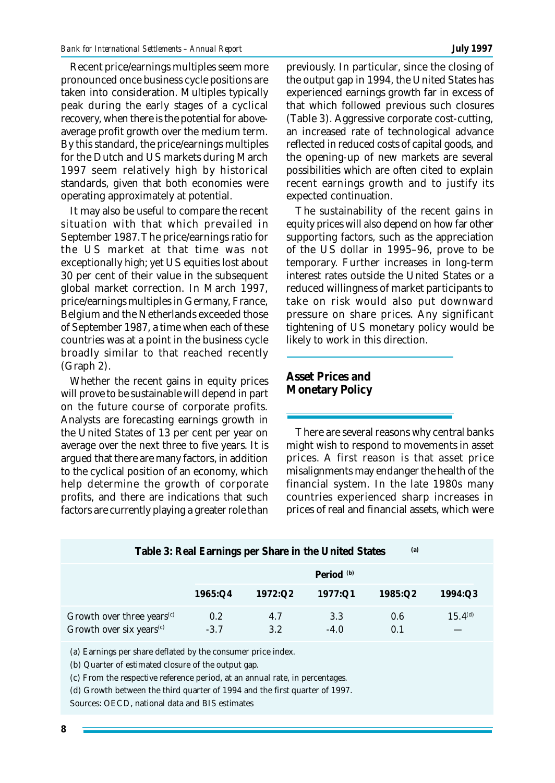Recent price/earnings multiples seem more pronounced once business cycle positions are taken into consideration. Multiples typically peak during the early stages of a cyclical recovery, when there is the potential for aboveaverage profit growth over the medium term. By this standard, the price/earnings multiples for the Dutch and US markets during March 1997 seem relatively high by historical standards, given that both economies were operating approximately at potential.

It may also be useful to compare the recent situation with that which prevailed in September 1987. The price/earnings ratio for the US market at that time was not exceptionally high; yet US equities lost about 30 per cent of their value in the subsequent global market correction. In March 1997, price/earnings multiples in Germany, France, Belgium and the Netherlands exceeded those of September 1987, a time when each of these countries was at a point in the business cycle broadly similar to that reached recently (Graph 2).

Whether the recent gains in equity prices will prove to be sustainable will depend in part on the future course of corporate profits. Analysts are forecasting earnings growth in the United States of 13 per cent per year on average over the next three to five years. It is argued that there are many factors, in addition to the cyclical position of an economy, which help determine the growth of corporate profits, and there are indications that such factors are currently playing a greater role than

previously. In particular, since the closing of the output gap in 1994, the United States has experienced earnings growth far in excess of that which followed previous such closures (Table 3). Aggressive corporate cost-cutting, an increased rate of technological advance reflected in reduced costs of capital goods, and the opening-up of new markets are several possibilities which are often cited to explain recent earnings growth and to justify its expected continuation.

The sustainability of the recent gains in equity prices will also depend on how far other supporting factors, such as the appreciation of the US dollar in 1995–96, prove to be temporary. Further increases in long-term interest rates outside the United States or a reduced willingness of market participants to take on risk would also put downward pressure on share prices. Any significant tightening of US monetary policy would be likely to work in this direction.

**Asset Prices and Monetary Policy**

There are several reasons why central banks might wish to respond to movements in asset prices. A first reason is that asset price misalignments may endanger the health of the financial system. In the late 1980s many countries experienced sharp increases in prices of real and financial assets, which were

| (a)<br>Table 3: Real Earnings per Share in the United States                                                        |                            |            |               |            |              |  |  |  |  |
|---------------------------------------------------------------------------------------------------------------------|----------------------------|------------|---------------|------------|--------------|--|--|--|--|
|                                                                                                                     | Period $(b)$               |            |               |            |              |  |  |  |  |
|                                                                                                                     | 1965:Q4                    | 1972:Q2    | 1977:Q1       | 1985:Q2    | 1994:Q3      |  |  |  |  |
| Growth over three years <sup>(c)</sup><br>Growth over six years <sup>(c)</sup>                                      | 0.2 <sub>2</sub><br>$-3.7$ | 4.7<br>3.2 | 3.3<br>$-4.0$ | 0.6<br>0.1 | $15.4^{(d)}$ |  |  |  |  |
| (a) Earnings per share deflated by the consumer price index.<br>(b) Quarter of estimated closure of the output gap. |                            |            |               |            |              |  |  |  |  |

(c) From the respective reference period, at an annual rate, in percentages.

(d) Growth between the third quarter of 1994 and the first quarter of 1997.

Sources: OECD, national data and BIS estimates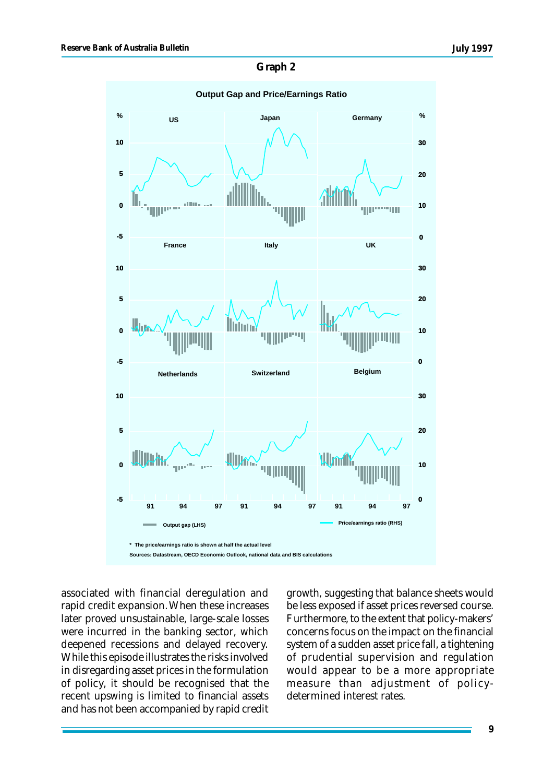### **Graph 2**



associated with financial deregulation and rapid credit expansion. When these increases later proved unsustainable, large-scale losses were incurred in the banking sector, which deepened recessions and delayed recovery. While this episode illustrates the risks involved in disregarding asset prices in the formulation of policy, it should be recognised that the recent upswing is limited to financial assets and has not been accompanied by rapid credit

growth, suggesting that balance sheets would be less exposed if asset prices reversed course. Furthermore, to the extent that policy-makers' concerns focus on the impact on the financial system of a sudden asset price fall, a tightening of prudential supervision and regulation would appear to be a more appropriate measure than adjustment of policydetermined interest rates.